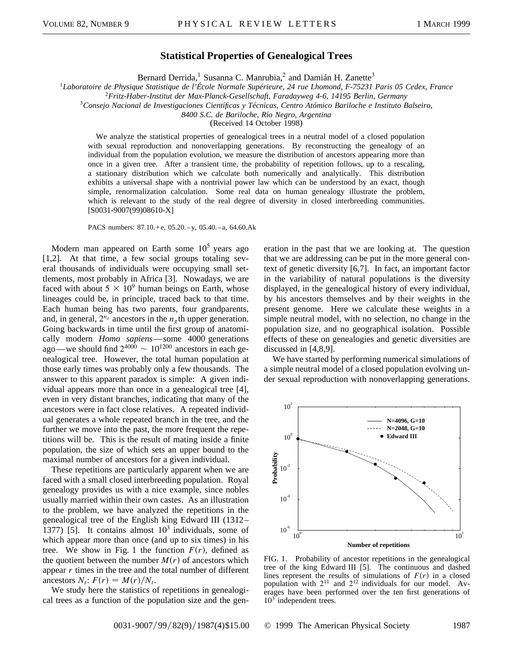## **Statistical Properties of Genealogical Trees**

Bernard Derrida,<sup>1</sup> Susanna C. Manrubia,<sup>2</sup> and Damián H. Zanette<sup>3</sup>

<sup>1</sup>*Laboratoire de Physique Statistique de l'École Normale Supérieure, 24 rue Lhomond, F-75231 Paris 05 Cedex, France*

<sup>2</sup>*Fritz-Haber-Institut der Max-Planck-Gesellschaft, Faradayweg 4-6, 14195 Berlin, Germany*

<sup>3</sup>*Consejo Nacional de Investigaciones Cientı´ficas y Técnicas, Centro Atómico Bariloche e Instituto Balseiro,*

*8400 S.C. de Bariloche, Rı´o Negro, Argentina*

(Received 14 October 1998)

We analyze the statistical properties of genealogical trees in a neutral model of a closed population with sexual reproduction and nonoverlapping generations. By reconstructing the genealogy of an individual from the population evolution, we measure the distribution of ancestors appearing more than once in a given tree. After a transient time, the probability of repetition follows, up to a rescaling, a stationary distribution which we calculate both numerically and analytically. This distribution exhibits a universal shape with a nontrivial power law which can be understood by an exact, though simple, renormalization calculation. Some real data on human genealogy illustrate the problem, which is relevant to the study of the real degree of diversity in closed interbreeding communities. [S0031-9007(99)08610-X]

PACS numbers: 87.10.+e, 05.20.-y, 05.40.-a, 64.60.Ak

Modern man appeared on Earth some  $10<sup>5</sup>$  years ago [1,2]. At that time, a few social groups totaling several thousands of individuals were occupying small settlements, most probably in Africa [3]. Nowadays, we are faced with about  $5 \times 10^9$  human beings on Earth, whose lineages could be, in principle, traced back to that time. Each human being has two parents, four grandparents, and, in general,  $2^{n_g}$  ancestors in the  $n_g$ <sup>th</sup> upper generation. Going backwards in time until the first group of anatomically modern *Homo sapiens*—some 4000 generations ago—we should find  $2^{4000} \sim 10^{1200}$  ancestors in each genealogical tree. However, the total human population at those early times was probably only a few thousands. The answer to this apparent paradox is simple: A given individual appears more than once in a genealogical tree [4], even in very distant branches, indicating that many of the ancestors were in fact close relatives. A repeated individual generates a whole repeated branch in the tree, and the further we move into the past, the more frequent the repetitions will be. This is the result of mating inside a finite population, the size of which sets an upper bound to the maximal number of ancestors for a given individual.

These repetitions are particularly apparent when we are faced with a small closed interbreeding population. Royal genealogy provides us with a nice example, since nobles usually married within their own castes. As an illustration to the problem, we have analyzed the repetitions in the genealogical tree of the English king Edward III (1312– 1377) [5]. It contains almost  $10^3$  individuals, some of which appear more than once (and up to six times) in his tree. We show in Fig. 1 the function  $F(r)$ , defined as the quotient between the number  $M(r)$  of ancestors which appear *r* times in the tree and the total number of different ancestors  $N_t$ :  $F(r) = M(r)/N_t$ .

We study here the statistics of repetitions in genealogical trees as a function of the population size and the generation in the past that we are looking at. The question that we are addressing can be put in the more general context of genetic diversity [6,7]. In fact, an important factor in the variability of natural populations is the diversity displayed, in the genealogical history of every individual, by his ancestors themselves and by their weights in the present genome. Here we calculate these weights in a simple neutral model, with no selection, no change in the population size, and no geographical isolation. Possible effects of these on genealogies and genetic diversities are discussed in [4,8,9].

We have started by performing numerical simulations of a simple neutral model of a closed population evolving under sexual reproduction with nonoverlapping generations.



FIG. 1. Probability of ancestor repetitions in the genealogical tree of the king Edward III [5]. The continuous and dashed lines represent the results of simulations of  $F(r)$  in a closed population with  $2^{11}$  and  $2^{12}$  individuals for our model. Averages have been performed over the ten first generations of  $10<sup>3</sup>$  independent trees.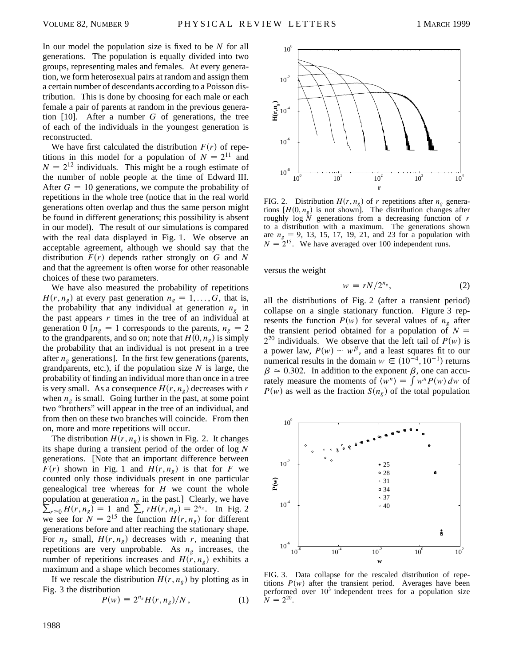In our model the population size is fixed to be *N* for all generations. The population is equally divided into two groups, representing males and females. At every generation, we form heterosexual pairs at random and assign them a certain number of descendants according to a Poisson distribution. This is done by choosing for each male or each female a pair of parents at random in the previous generation [10]. After a number *G* of generations, the tree of each of the individuals in the youngest generation is reconstructed.

We have first calculated the distribution  $F(r)$  of repetitions in this model for a population of  $N = 2^{11}$  and  $N = 2^{12}$  individuals. This might be a rough estimate of the number of noble people at the time of Edward III. After  $G = 10$  generations, we compute the probability of repetitions in the whole tree (notice that in the real world generations often overlap and thus the same person might be found in different generations; this possibility is absent in our model). The result of our simulations is compared with the real data displayed in Fig. 1. We observe an acceptable agreement, although we should say that the distribution  $F(r)$  depends rather strongly on  $G$  and  $N$ and that the agreement is often worse for other reasonable choices of these two parameters.

We have also measured the probability of repetitions  $H(r, n_g)$  at every past generation  $n_g = 1, \ldots, G$ , that is, the probability that any individual at generation  $n<sub>g</sub>$  in the past appears *r* times in the tree of an individual at generation 0  $[n_g = 1$  corresponds to the parents,  $n_g = 2$ to the grandparents, and so on; note that  $H(0, n_g)$  is simply the probability that an individual is not present in a tree after  $n_g$  generations]. In the first few generations (parents, grandparents, etc.), if the population size *N* is large, the probability of finding an individual more than once in a tree is very small. As a consequence  $H(r, n_g)$  decreases with *r* when  $n_e$  is small. Going further in the past, at some point two "brothers" will appear in the tree of an individual, and from then on these two branches will coincide. From then on, more and more repetitions will occur.

The distribution  $H(r, n_g)$  is shown in Fig. 2. It changes its shape during a transient period of the order of log *N* generations. [Note that an important difference between  $F(r)$  shown in Fig. 1 and  $H(r, n_g)$  is that for *F* we counted only those individuals present in one particular genealogical tree whereas for *H* we count the whole  $\sum_{r\geq 0} H(r, n_g) = 1$  and  $\sum_{r} rH(r, n_g) = 2^{n_g}$ . In Fig. 2 population at generation  $n<sub>g</sub>$  in the past.] Clearly, we have we see for  $\tilde{N} = 2^{15}$  the function  $\tilde{H}(r, n_g)$  for different generations before and after reaching the stationary shape. For  $n_g$  small,  $H(r, n_g)$  decreases with *r*, meaning that repetitions are very unprobable. As *ng* increases, the number of repetitions increases and  $H(r, n_g)$  exhibits a maximum and a shape which becomes stationary.

If we rescale the distribution  $H(r, n_g)$  by plotting as in Fig. 3 the distribution

$$
P(w) \equiv 2^{n_g} H(r, n_g)/N \,, \tag{1}
$$



FIG. 2. Distribution  $H(r, n_g)$  of *r* repetitions after  $n_g$  generations  $[H(0, n_g)]$  is not shown]. The distribution changes after roughly log *N* generations from a decreasing function of *r* to a distribution with a maximum. The generations shown are  $n_g = 9$ , 13, 15, 17, 19, 21, and 23 for a population with  $N = 2^{15}$ . We have averaged over 100 independent runs.

versus the weight

$$
w \equiv rN/2^{n_g}, \tag{2}
$$

all the distributions of Fig. 2 (after a transient period) collapse on a single stationary function. Figure 3 represents the function  $P(w)$  for several values of  $n_g$  after the transient period obtained for a population of  $N =$  $2^{20}$  individuals. We observe that the left tail of  $P(w)$  is a power law,  $P(w) \sim w^{\beta}$ , and a least squares fit to our numerical results in the domain  $w \in (10^{-4}, 10^{-1})$  returns  $\beta \approx 0.302$ . In addition to the exponent  $\beta$ , one can accu- $P = 0.502$ . In addition to the exponent  $P$ , one can accurately measure the moments of  $\langle w^n \rangle = \int w^n P(w) dw$  of  $P(w)$  as well as the fraction  $S(n_g)$  of the total population



FIG. 3. Data collapse for the rescaled distribution of repetitions  $P(w)$  after the transient period. Averages have been performed over  $10<sup>3</sup>$  independent trees for a population size  $\tilde{N} = 2^{20}$ .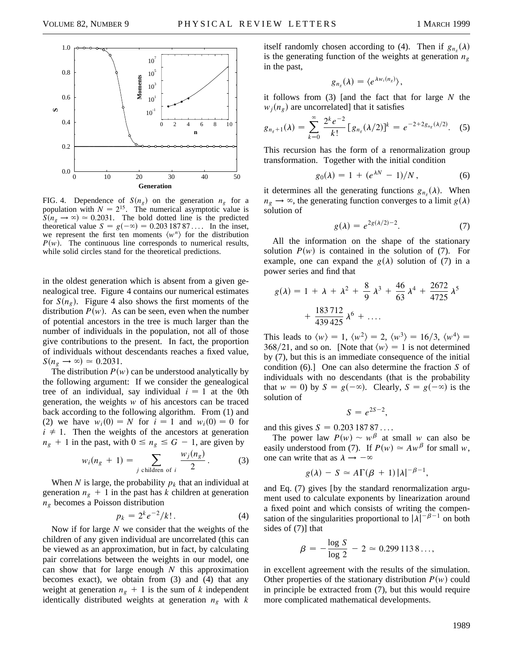

FIG. 4. Dependence of  $S(n_g)$  on the generation  $n_g$  for a population with  $N = 2^{15}$ . The numerical asymptotic value is  $S(n_g \rightarrow \infty) \approx 0.2031$ . The bold dotted line is the predicted theoretical value  $S = g(-\infty) = 0.20318787...$  In the inset, we represent the first ten moments  $\langle w^n \rangle$  for the distribution  $P(w)$ . The continuous line corresponds to numerical results, while solid circles stand for the theoretical predictions.

in the oldest generation which is absent from a given genealogical tree. Figure 4 contains our numerical estimates for  $S(n_e)$ . Figure 4 also shows the first moments of the distribution  $P(w)$ . As can be seen, even when the number of potential ancestors in the tree is much larger than the number of individuals in the population, not all of those give contributions to the present. In fact, the proportion of individuals without descendants reaches a fixed value,  $S(n_{\varrho} \rightarrow \infty) \simeq 0.2031.$ 

The distribution  $P(w)$  can be understood analytically by the following argument: If we consider the genealogical tree of an individual, say individual  $i = 1$  at the 0th generation, the weights *w* of his ancestors can be traced back according to the following algorithm. From (1) and (2) we have  $w_i(0) = N$  for  $i = 1$  and  $w_i(0) = 0$  for  $i \neq 1$ . Then the weights of the ancestors at generation  $n_g + 1$  in the past, with  $0 \le n_g \le G - 1$ , are given by

$$
w_i(n_g + 1) = \sum_{j \text{ children of } i} \frac{w_j(n_g)}{2}.
$$
 (3)

When *N* is large, the probability  $p_k$  that an individual at generation  $n_g + 1$  in the past has *k* children at generation *ng* becomes a Poisson distribution

$$
p_k = 2^k e^{-2} / k!.
$$
 (4)

Now if for large *N* we consider that the weights of the children of any given individual are uncorrelated (this can be viewed as an approximation, but in fact, by calculating pair correlations between the weights in our model, one can show that for large enough *N* this approximation becomes exact), we obtain from (3) and (4) that any weight at generation  $n_g + 1$  is the sum of *k* independent identically distributed weights at generation *ng* with *k*

itself randomly chosen according to (4). Then if  $g_{n_g}(\lambda)$ is the generating function of the weights at generation  $n_e$ in the past,

$$
g_{n_g}(\lambda) = \langle e^{\lambda w_i(n_g)} \rangle,
$$

it follows from (3) [and the fact that for large *N* the  $w_i(n_g)$  are uncorrelated] that it satisfies

$$
g_{n_g+1}(\lambda) = \sum_{k=0}^{\infty} \frac{2^k e^{-2}}{k!} [g_{n_g}(\lambda/2)]^k = e^{-2+2g_{n_g}(\lambda/2)}.
$$
 (5)

This recursion has the form of a renormalization group transformation. Together with the initial condition

$$
g_0(\lambda) = 1 + (e^{\lambda N} - 1)/N, \qquad (6)
$$

it determines all the generating functions  $g_{n_g}(\lambda)$ . When  $n_g \rightarrow \infty$ , the generating function converges to a limit *g*( $\lambda$ ) solution of

$$
g(\lambda) = e^{2g(\lambda/2) - 2}.\tag{7}
$$

All the information on the shape of the stationary solution  $P(w)$  is contained in the solution of (7). For example, one can expand the  $g(\lambda)$  solution of (7) in a power series and find that

$$
g(\lambda) = 1 + \lambda + \lambda^2 + \frac{8}{9} \lambda^3 + \frac{46}{63} \lambda^4 + \frac{2672}{4725} \lambda^5 + \frac{183712}{439425} \lambda^6 + \dots
$$

This leads to  $\langle w \rangle = 1$ ,  $\langle w^2 \rangle = 2$ ,  $\langle w^3 \rangle = 16/3$ ,  $\langle w^4 \rangle =$  $368/21$ , and so on. [Note that  $\langle w \rangle = 1$  is not determined by (7), but this is an immediate consequence of the initial condition (6).] One can also determine the fraction *S* of individuals with no descendants (that is the probability that  $w = 0$ ) by  $S = g(-\infty)$ . Clearly,  $S = g(-\infty)$  is the solution of

$$
S=e^{2S-2},
$$

and this gives  $S = 0.20318787...$ 

The power law  $P(w) \sim w^{\beta}$  at small *w* can also be easily understood from (7). If  $P(w) \simeq A w^{\beta}$  for small *w*, one can write that as  $\lambda \rightarrow -\infty$ 

$$
g(\lambda) - S \simeq A\Gamma(\beta + 1)|\lambda|^{-\beta - 1},
$$

and Eq. (7) gives [by the standard renormalization argument used to calculate exponents by linearization around a fixed point and which consists of writing the compensation of the singularities proportional to  $|\lambda|^{-\beta-1}$  on both sides of (7)] that

$$
\beta = -\frac{\log S}{\log 2} - 2 \simeq 0.2991138...,
$$

in excellent agreement with the results of the simulation. Other properties of the stationary distribution  $P(w)$  could in principle be extracted from (7), but this would require more complicated mathematical developments.